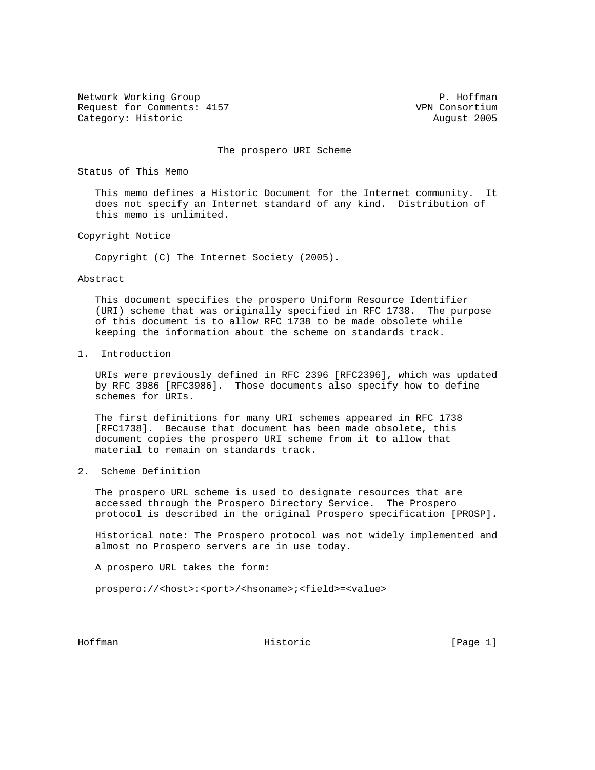Network Working Group **P. Hoffman** Request for Comments: 4157 VPN Consortium Category: Historic **August 2005** 

The prospero URI Scheme

Status of This Memo

 This memo defines a Historic Document for the Internet community. It does not specify an Internet standard of any kind. Distribution of this memo is unlimited.

Copyright Notice

Copyright (C) The Internet Society (2005).

Abstract

 This document specifies the prospero Uniform Resource Identifier (URI) scheme that was originally specified in RFC 1738. The purpose of this document is to allow RFC 1738 to be made obsolete while keeping the information about the scheme on standards track.

1. Introduction

 URIs were previously defined in RFC 2396 [RFC2396], which was updated by RFC 3986 [RFC3986]. Those documents also specify how to define schemes for URIs.

 The first definitions for many URI schemes appeared in RFC 1738 [RFC1738]. Because that document has been made obsolete, this document copies the prospero URI scheme from it to allow that material to remain on standards track.

2. Scheme Definition

 The prospero URL scheme is used to designate resources that are accessed through the Prospero Directory Service. The Prospero protocol is described in the original Prospero specification [PROSP].

 Historical note: The Prospero protocol was not widely implemented and almost no Prospero servers are in use today.

A prospero URL takes the form:

prospero://<host>:<port>/<hsoname>;<field>=<value>

Hoffman Historic [Page 1]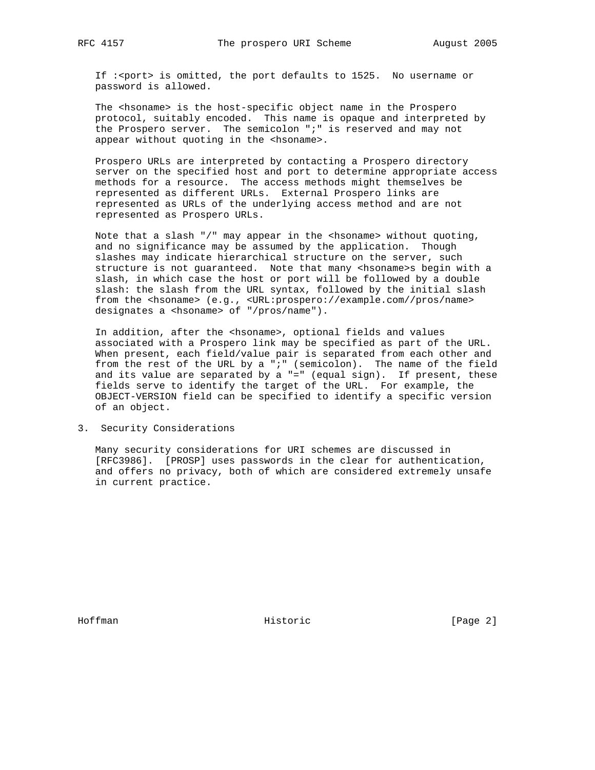If :<port> is omitted, the port defaults to 1525. No username or password is allowed.

 The <hsoname> is the host-specific object name in the Prospero protocol, suitably encoded. This name is opaque and interpreted by the Prospero server. The semicolon ";" is reserved and may not appear without quoting in the <hsoname>.

 Prospero URLs are interpreted by contacting a Prospero directory server on the specified host and port to determine appropriate access methods for a resource. The access methods might themselves be represented as different URLs. External Prospero links are represented as URLs of the underlying access method and are not represented as Prospero URLs.

 Note that a slash "/" may appear in the <hsoname> without quoting, and no significance may be assumed by the application. Though slashes may indicate hierarchical structure on the server, such structure is not guaranteed. Note that many <hsoname>s begin with a slash, in which case the host or port will be followed by a double slash: the slash from the URL syntax, followed by the initial slash from the <hsoname> (e.g., <URL:prospero://example.com//pros/name> designates a <hsoname> of "/pros/name").

In addition, after the <hsoname>, optional fields and values associated with a Prospero link may be specified as part of the URL. When present, each field/value pair is separated from each other and from the rest of the URL by a ";" (semicolon). The name of the field and its value are separated by a "=" (equal sign). If present, these fields serve to identify the target of the URL. For example, the OBJECT-VERSION field can be specified to identify a specific version of an object.

3. Security Considerations

 Many security considerations for URI schemes are discussed in [RFC3986]. [PROSP] uses passwords in the clear for authentication, and offers no privacy, both of which are considered extremely unsafe in current practice.

Hoffman **Historic Historic** [Page 2]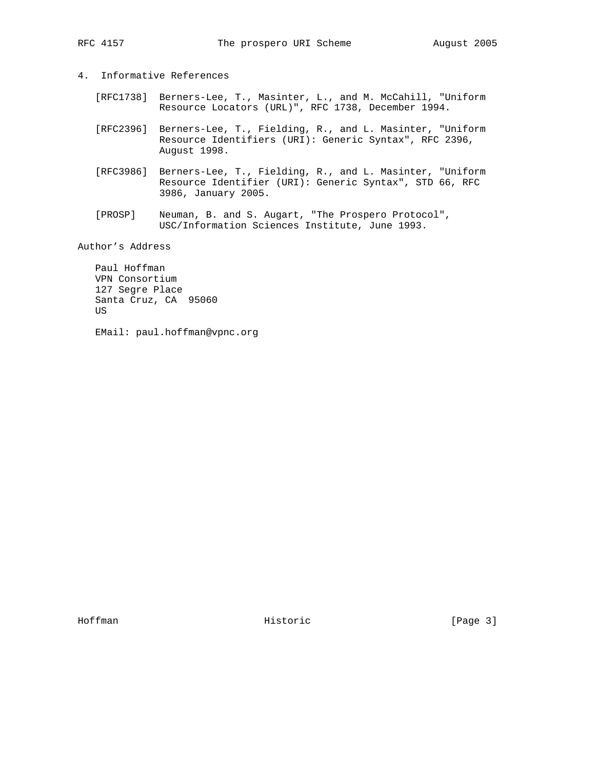## 4. Informative References

- [RFC1738] Berners-Lee, T., Masinter, L., and M. McCahill, "Uniform Resource Locators (URL)", RFC 1738, December 1994.
- [RFC2396] Berners-Lee, T., Fielding, R., and L. Masinter, "Uniform Resource Identifiers (URI): Generic Syntax", RFC 2396, August 1998.
- [RFC3986] Berners-Lee, T., Fielding, R., and L. Masinter, "Uniform Resource Identifier (URI): Generic Syntax", STD 66, RFC 3986, January 2005.
- [PROSP] Neuman, B. and S. Augart, "The Prospero Protocol", USC/Information Sciences Institute, June 1993.

Author's Address

 Paul Hoffman VPN Consortium 127 Segre Place Santa Cruz, CA 95060 US

EMail: paul.hoffman@vpnc.org

Hoffman **Historic Historic** [Page 3]